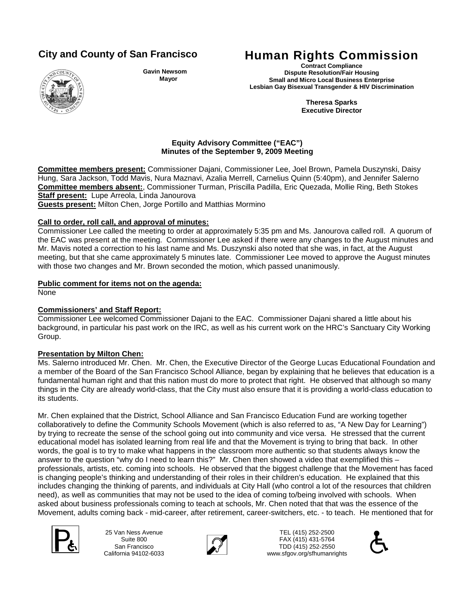

**Gavin Newsom Mayor**

# **City and County of San Francisco Human Rights Commission**

**Contract Compliance Dispute Resolution/Fair Housing Small and Micro Local Business Enterprise Lesbian Gay Bisexual Transgender & HIV Discrimination**

> **Theresa Sparks Executive Director**

### **Equity Advisory Committee ("EAC") Minutes of the September 9, 2009 Meeting**

**Committee members present:** Commissioner Dajani, Commissioner Lee, Joel Brown, Pamela Duszynski, Daisy Hung, Sara Jackson, Todd Mavis, Nura Maznavi, Azalia Merrell, Carnelius Quinn (5:40pm), and Jennifer Salerno **Committee members absent:**, Commissioner Turman, Priscilla Padilla, Eric Quezada, Mollie Ring, Beth Stokes **Staff present:** Lupe Arreola, Linda Janourova **Guests present:** Milton Chen, Jorge Portillo and Matthias Mormino

# **Call to order, roll call, and approval of minutes:**

Commissioner Lee called the meeting to order at approximately 5:35 pm and Ms. Janourova called roll. A quorum of the EAC was present at the meeting. Commissioner Lee asked if there were any changes to the August minutes and Mr. Mavis noted a correction to his last name and Ms. Duszynski also noted that she was, in fact, at the August meeting, but that she came approximately 5 minutes late. Commissioner Lee moved to approve the August minutes with those two changes and Mr. Brown seconded the motion, which passed unanimously.

# **Public comment for items not on the agenda:**

None

# **Commissioners' and Staff Report:**

Commissioner Lee welcomed Commissioner Dajani to the EAC. Commissioner Dajani shared a little about his background, in particular his past work on the IRC, as well as his current work on the HRC's Sanctuary City Working Group.

# **Presentation by Milton Chen:**

Ms. Salerno introduced Mr. Chen. Mr. Chen, the Executive Director of the George Lucas Educational Foundation and a member of the Board of the San Francisco School Alliance, began by explaining that he believes that education is a fundamental human right and that this nation must do more to protect that right. He observed that although so many things in the City are already world-class, that the City must also ensure that it is providing a world-class education to its students.

Mr. Chen explained that the District, School Alliance and San Francisco Education Fund are working together collaboratively to define the Community Schools Movement (which is also referred to as, "A New Day for Learning") by trying to recreate the sense of the school going out into community and vice versa. He stressed that the current educational model has isolated learning from real life and that the Movement is trying to bring that back. In other words, the goal is to try to make what happens in the classroom more authentic so that students always know the answer to the question "why do I need to learn this?" Mr. Chen then showed a video that exemplified this – professionals, artists, etc. coming into schools. He observed that the biggest challenge that the Movement has faced is changing people's thinking and understanding of their roles in their children's education. He explained that this includes changing the thinking of parents, and individuals at City Hall (who control a lot of the resources that children need), as well as communities that may not be used to the idea of coming to/being involved with schools. When asked about business professionals coming to teach at schools, Mr. Chen noted that that was the essence of the Movement, adults coming back - mid-career, after retirement, career-switchers, etc. - to teach. He mentioned that for



25 Van Ness Avenue Suite 800 San Francisco California 94102-6033



TEL (415) 252-2500 FAX (415) 431-5764 EL (415) 252-2500<br>
25 Van Ness Avenue<br>
Suite 800<br>
California 94102-6033<br>
California 94102-6033<br>
California 94102-6033 www.sfgov.org/sfhumanrights

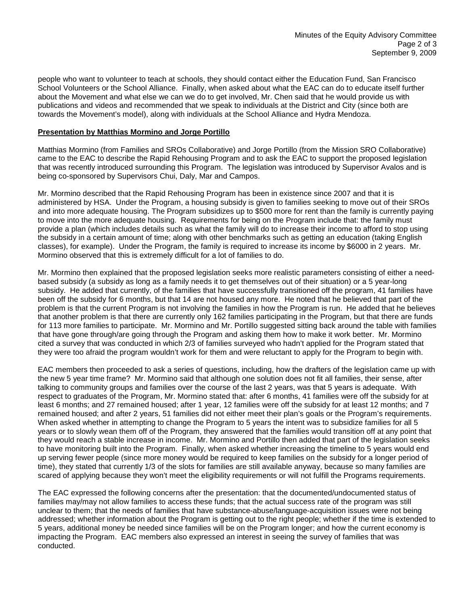people who want to volunteer to teach at schools, they should contact either the Education Fund, San Francisco School Volunteers or the School Alliance. Finally, when asked about what the EAC can do to educate itself further about the Movement and what else we can we do to get involved, Mr. Chen said that he would provide us with publications and videos and recommended that we speak to individuals at the District and City (since both are towards the Movement's model), along with individuals at the School Alliance and Hydra Mendoza.

### **Presentation by Matthias Mormino and Jorge Portillo**

Matthias Mormino (from Families and SROs Collaborative) and Jorge Portillo (from the Mission SRO Collaborative) came to the EAC to describe the Rapid Rehousing Program and to ask the EAC to support the proposed legislation that was recently introduced surrounding this Program. The legislation was introduced by Supervisor Avalos and is being co-sponsored by Supervisors Chui, Daly, Mar and Campos.

Mr. Mormino described that the Rapid Rehousing Program has been in existence since 2007 and that it is administered by HSA. Under the Program, a housing subsidy is given to families seeking to move out of their SROs and into more adequate housing. The Program subsidizes up to \$500 more for rent than the family is currently paying to move into the more adequate housing. Requirements for being on the Program include that: the family must provide a plan (which includes details such as what the family will do to increase their income to afford to stop using the subsidy in a certain amount of time; along with other benchmarks such as getting an education (taking English classes), for example). Under the Program, the family is required to increase its income by \$6000 in 2 years. Mr. Mormino observed that this is extremely difficult for a lot of families to do.

Mr. Mormino then explained that the proposed legislation seeks more realistic parameters consisting of either a needbased subsidy (a subsidy as long as a family needs it to get themselves out of their situation) or a 5 year-long subsidy. He added that currently, of the families that have successfully transitioned off the program, 41 families have been off the subsidy for 6 months, but that 14 are not housed any more. He noted that he believed that part of the problem is that the current Program is not involving the families in how the Program is run. He added that he believes that another problem is that there are currently only 162 families participating in the Program, but that there are funds for 113 more families to participate. Mr. Mormino and Mr. Portillo suggested sitting back around the table with families that have gone through/are going through the Program and asking them how to make it work better. Mr. Mormino cited a survey that was conducted in which 2/3 of families surveyed who hadn't applied for the Program stated that they were too afraid the program wouldn't work for them and were reluctant to apply for the Program to begin with.

EAC members then proceeded to ask a series of questions, including, how the drafters of the legislation came up with the new 5 year time frame? Mr. Mormino said that although one solution does not fit all families, their sense, after talking to community groups and families over the course of the last 2 years, was that 5 years is adequate. With respect to graduates of the Program, Mr. Mormino stated that: after 6 months, 41 families were off the subsidy for at least 6 months; and 27 remained housed; after 1 year, 12 families were off the subsidy for at least 12 months; and 7 remained housed; and after 2 years, 51 families did not either meet their plan's goals or the Program's requirements. When asked whether in attempting to change the Program to 5 years the intent was to subsidize families for all 5 years or to slowly wean them off of the Program, they answered that the families would transition off at any point that they would reach a stable increase in income. Mr. Mormino and Portillo then added that part of the legislation seeks to have monitoring built into the Program. Finally, when asked whether increasing the timeline to 5 years would end up serving fewer people (since more money would be required to keep families on the subsidy for a longer period of time), they stated that currently 1/3 of the slots for families are still available anyway, because so many families are scared of applying because they won't meet the eligibility requirements or will not fulfill the Programs requirements.

The EAC expressed the following concerns after the presentation: that the documented/undocumented status of families may/may not allow families to access these funds; that the actual success rate of the program was still unclear to them; that the needs of families that have substance-abuse/language-acquisition issues were not being addressed; whether information about the Program is getting out to the right people; whether if the time is extended to 5 years, additional money be needed since families will be on the Program longer; and how the current economy is impacting the Program. EAC members also expressed an interest in seeing the survey of families that was conducted.